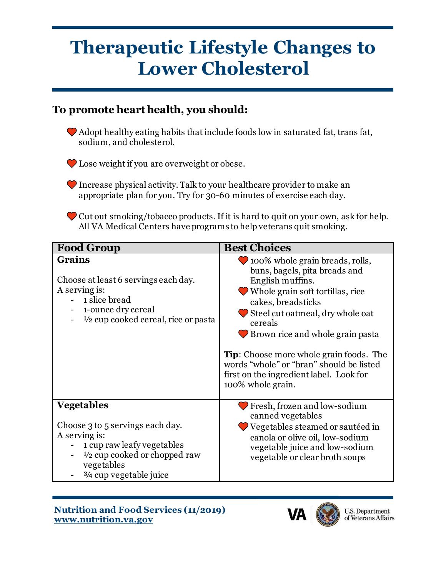## **Therapeutic Lifestyle Changes to Lower Cholesterol**

## **To promote heart health, you should:**

 Adopt healthy eating habits that include foods low in saturated fat, trans fat, sodium, and cholesterol.

 $\bullet$  Lose weight if you are overweight or obese.

 Increase physical activity. Talk to your healthcare provider to make an appropriate plan for you. Try for 30-60 minutes of exercise each day.

 Cut out smoking/tobacco products. If it is hard to quit on your own, ask for help. All VA Medical Centers have programs to help veterans quit smoking.

| <b>Food Group</b>                                                                                                                                                                        | <b>Best Choices</b>                                                                                                                                                                                                                                                                                                                                                                                                |
|------------------------------------------------------------------------------------------------------------------------------------------------------------------------------------------|--------------------------------------------------------------------------------------------------------------------------------------------------------------------------------------------------------------------------------------------------------------------------------------------------------------------------------------------------------------------------------------------------------------------|
| <b>Grains</b><br>Choose at least 6 servings each day.<br>A serving is:<br>1 slice bread<br>1-ounce dry cereal<br>1/2 cup cooked cereal, rice or pasta                                    | 100% whole grain breads, rolls,<br>buns, bagels, pita breads and<br>English muffins.<br><b>◆</b> Whole grain soft tortillas, rice<br>cakes, breadsticks<br>$\bullet$ Steel cut oatmeal, dry whole oat<br>cereals<br>Brown rice and whole grain pasta<br><b>Tip:</b> Choose more whole grain foods. The<br>words "whole" or "bran" should be listed<br>first on the ingredient label. Look for<br>100% whole grain. |
| <b>Vegetables</b><br>Choose 3 to 5 servings each day.<br>A serving is:<br>1 cup raw leafy vegetables<br>$\frac{1}{2}$ cup cooked or chopped raw<br>vegetables<br>3/4 cup vegetable juice | Fresh, frozen and low-sodium<br>canned vegetables<br>Vegetables steamed or sautéed in<br>canola or olive oil, low-sodium<br>vegetable juice and low-sodium<br>vegetable or clear broth soups                                                                                                                                                                                                                       |